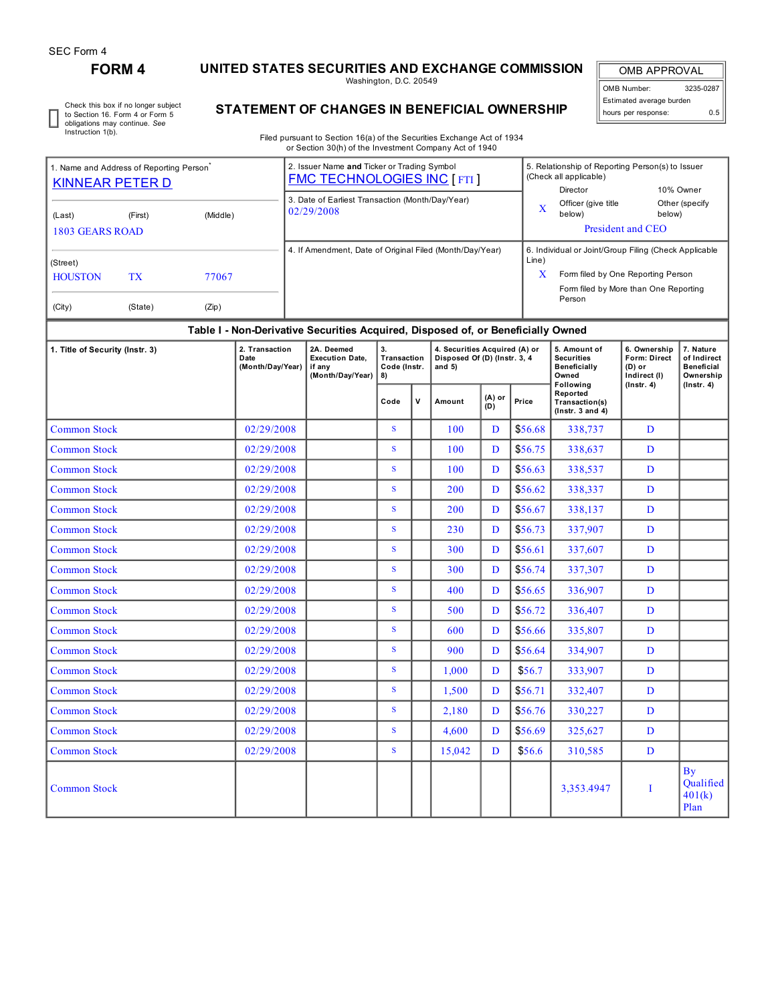## **FORM 4 UNITED STATES SECURITIES AND EXCHANGE COMMISSION**

Washington, D.C. 20549

OMB APPROVAL OMB Number: 3235-0287 Estimated average burden hours per response: 0.5

Check this box if no longer subject to Section 16. Form 4 or Form 5 obligations may continue. *See* Instruction 1(b).

## **STATEMENT OF CHANGES IN BENEFICIAL OWNERSHIP**

Filed pursuant to Section 16(a) of the Securities Exchange Act of 1934 or Section 30(h) of the Investment Company Act of 1940

| 1. Name and Address of Reporting Person<br><b>KINNEAR PETER D</b> |                      |                | 2. Issuer Name and Ticker or Trading Symbol<br><b>FMC TECHNOLOGIES INC [FTI]</b> |            | 5. Relationship of Reporting Person(s) to Issuer<br>(Check all applicable)<br>Director                                                         | 10% Owner                |
|-------------------------------------------------------------------|----------------------|----------------|----------------------------------------------------------------------------------|------------|------------------------------------------------------------------------------------------------------------------------------------------------|--------------------------|
| (Last)<br>1803 GEARS ROAD                                         | (First)              | (Middle)       | 3. Date of Earliest Transaction (Month/Day/Year)<br>02/29/2008                   | X          | Officer (give title<br>below)<br>President and CEO                                                                                             | Other (specify<br>below) |
| $\int$ (Street)<br><b>HOUSTON</b><br>(City)                       | <b>TX</b><br>(State) | 77067<br>(Zip) | 4. If Amendment, Date of Original Filed (Month/Day/Year)                         | Line)<br>X | 6. Individual or Joint/Group Filing (Check Applicable<br>Form filed by One Reporting Person<br>Form filed by More than One Reporting<br>Person |                          |

## **Table I - Non-Derivative Securities Acquired, Disposed of, or Beneficially Owned**

| 1. Title of Security (Instr. 3) | 2. Transaction<br>Date<br>(Month/Day/Year) | 2A. Deemed<br><b>Execution Date,</b><br>if anv<br>(Month/Day/Year) | 3.<br>Transaction<br>Code (Instr.<br>8) |             | 4. Securities Acquired (A) or<br>Disposed Of (D) (Instr. 3, 4<br>and $5)$ |                 |         | 5. Amount of<br><b>Securities</b><br><b>Beneficially</b><br>Owned<br>Following | 6. Ownership<br>Form: Direct<br>$(D)$ or<br>Indirect (I) | 7. Nature<br>of Indirect<br><b>Beneficial</b><br>Ownership |
|---------------------------------|--------------------------------------------|--------------------------------------------------------------------|-----------------------------------------|-------------|---------------------------------------------------------------------------|-----------------|---------|--------------------------------------------------------------------------------|----------------------------------------------------------|------------------------------------------------------------|
|                                 |                                            |                                                                    | Code                                    | $\mathbf v$ | Amount                                                                    | $(A)$ or<br>(D) | Price   | Reported<br>Transaction(s)<br>$($ lnstr. 3 and 4 $)$                           | $($ Instr. 4 $)$                                         | $($ lnstr. 4 $)$                                           |
| <b>Common Stock</b>             | 02/29/2008                                 |                                                                    | S.                                      |             | 100                                                                       | D               | \$56.68 | 338,737                                                                        | D                                                        |                                                            |
| <b>Common Stock</b>             | 02/29/2008                                 |                                                                    | S.                                      |             | 100                                                                       | D               | \$56.75 | 338,637                                                                        | D                                                        |                                                            |
| <b>Common Stock</b>             | 02/29/2008                                 |                                                                    | S.                                      |             | 100                                                                       | D               | \$56.63 | 338,537                                                                        | D                                                        |                                                            |
| <b>Common Stock</b>             | 02/29/2008                                 |                                                                    | S                                       |             | 200                                                                       | D               | \$56.62 | 338,337                                                                        | D                                                        |                                                            |
| <b>Common Stock</b>             | 02/29/2008                                 |                                                                    | <sub>S</sub>                            |             | 200                                                                       | D               | \$56.67 | 338,137                                                                        | D                                                        |                                                            |
| <b>Common Stock</b>             | 02/29/2008                                 |                                                                    | S                                       |             | 230                                                                       | D               | \$56.73 | 337,907                                                                        | D                                                        |                                                            |
| <b>Common Stock</b>             | 02/29/2008                                 |                                                                    | S                                       |             | 300                                                                       | D               | \$56.61 | 337,607                                                                        | D                                                        |                                                            |
| <b>Common Stock</b>             | 02/29/2008                                 |                                                                    | S                                       |             | 300                                                                       | D               | \$56.74 | 337,307                                                                        | D                                                        |                                                            |
| <b>Common Stock</b>             | 02/29/2008                                 |                                                                    | S                                       |             | 400                                                                       | D               | \$56.65 | 336.907                                                                        | D                                                        |                                                            |
| <b>Common Stock</b>             | 02/29/2008                                 |                                                                    | S.                                      |             | 500                                                                       | D               | \$56.72 | 336,407                                                                        | D                                                        |                                                            |
| <b>Common Stock</b>             | 02/29/2008                                 |                                                                    | S.                                      |             | 600                                                                       | D               | \$56.66 | 335,807                                                                        | D                                                        |                                                            |
| <b>Common Stock</b>             | 02/29/2008                                 |                                                                    | <sub>S</sub>                            |             | 900                                                                       | D               | \$56.64 | 334.907                                                                        | D                                                        |                                                            |
| <b>Common Stock</b>             | 02/29/2008                                 |                                                                    | S                                       |             | 1.000                                                                     | D               | \$56.7  | 333,907                                                                        | D                                                        |                                                            |
| <b>Common Stock</b>             | 02/29/2008                                 |                                                                    | S.                                      |             | 1,500                                                                     | D               | \$56.71 | 332,407                                                                        | D                                                        |                                                            |
| <b>Common Stock</b>             | 02/29/2008                                 |                                                                    | S.                                      |             | 2,180                                                                     | D               | \$56.76 | 330,227                                                                        | D                                                        |                                                            |
| <b>Common Stock</b>             | 02/29/2008                                 |                                                                    | S.                                      |             | 4.600                                                                     | D               | \$56.69 | 325,627                                                                        | D                                                        |                                                            |
| <b>Common Stock</b>             | 02/29/2008                                 |                                                                    | S                                       |             | 15,042                                                                    | D               | \$56.6  | 310,585                                                                        | D                                                        |                                                            |
| <b>Common Stock</b>             |                                            |                                                                    |                                         |             |                                                                           |                 |         | 3,353.4947                                                                     | T                                                        | <b>By</b><br>Qualified<br>401(k)<br>Plan                   |